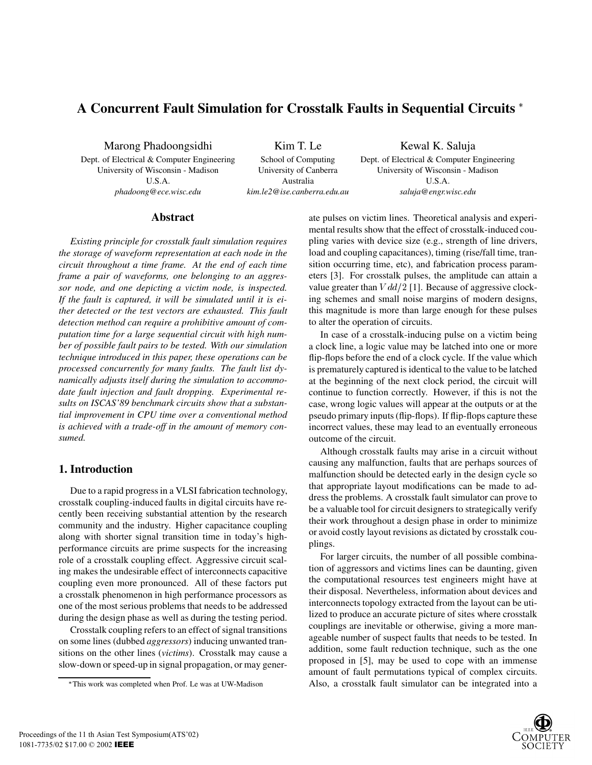# **A Concurrent Fault Simulation for Crosstalk Faults in Sequential Circuits**

*phadoong@ece.wisc.edu kim.le2@ise.canberra.edu.au saluja@engr.wisc.edu*

U.S.A. Australia U.S.A.

Marong Phadoongsidhi Kim T. Le Kewal K. Saluja Dept. of Electrical & Computer Engineering School of Computing Dept. of Electrical & Computer Engineering University of Wisconsin - Madison University of Canberra University of Wisconsin - Madison

## **Abstract**

*Existing principle for crosstalk fault simulation requires the storage of waveform representation at each node in the circuit throughout a time frame. At the end of each time frame a pair of waveforms, one belonging to an aggressor node, and one depicting a victim node, is inspected. If the fault is captured, it will be simulated until it is either detected or the test vectors are exhausted. This fault detection method can require a prohibitive amount of computation time for a large sequential circuit with high number of possible fault pairs to be tested. With our simulation technique introduced in this paper, these operations can be processed concurrently for many faults. The fault list dynamically adjusts itself during the simulation to accommodate fault injection and fault dropping. Experimental results on ISCAS'89 benchmark circuits show that a substantial improvement in CPU time over a conventional method is achieved with a trade-off in the amount of memory consumed.*

# **1. Introduction**

Due to a rapid progress in a VLSI fabrication technology, crosstalk coupling-induced faults in digital circuits have recently been receiving substantial attention by the research community and the industry. Higher capacitance coupling along with shorter signal transition time in today's highperformance circuits are prime suspects for the increasing role of a crosstalk coupling effect. Aggressive circuit scaling makes the undesirable effect of interconnects capacitive coupling even more pronounced. All of these factors put a crosstalk phenomenon in high performance processors as one of the most serious problems that needs to be addressed during the design phase as well as during the testing period.

Crosstalk coupling refers to an effect of signal transitions on some lines (dubbed *aggressors*) inducing unwanted transitions on the other lines (*victims*). Crosstalk may cause a slow-down or speed-up in signal propagation, or may gener-

ate pulses on victim lines. Theoretical analysis and experimental results show that the effect of crosstalk-induced coupling varies with device size (e.g., strength of line drivers, load and coupling capacitances), timing (rise/fall time, transition occurring time, etc), and fabrication process parameters [3]. For crosstalk pulses, the amplitude can attain a value greater than  $V \frac{dd}{2}$  [1]. Because of aggressive clocking schemes and small noise margins of modern designs, this magnitude is more than large enough for these pulses to alter the operation of circuits.

In case of a crosstalk-inducing pulse on a victim being a clock line, a logic value may be latched into one or more flip-flops before the end of a clock cycle. If the value which is prematurely captured is identical to the value to be latched at the beginning of the next clock period, the circuit will continue to function correctly. However, if this is not the case, wrong logic values will appear at the outputs or at the pseudo primary inputs (flip-flops). If flip-flops capture these incorrect values, these may lead to an eventually erroneous outcome of the circuit.

Although crosstalk faults may arise in a circuit without causing any malfunction, faults that are perhaps sources of malfunction should be detected early in the design cycle so that appropriate layout modifications can be made to address the problems. A crosstalk fault simulator can prove to be a valuable tool for circuit designers to strategically verify their work throughout a design phase in order to minimize or avoid costly layout revisions as dictated by crosstalk couplings.

For larger circuits, the number of all possible combination of aggressors and victims lines can be daunting, given the computational resources test engineers might have at their disposal. Nevertheless, information about devices and interconnects topology extracted from the layout can be utilized to produce an accurate picture of sites where crosstalk couplings are inevitable or otherwise, giving a more manageable number of suspect faults that needs to be tested. In addition, some fault reduction technique, such as the one proposed in [5], may be used to cope with an immense amount of fault permutations typical of complex circuits. Also, a crosstalk fault simulator can be integrated into a



This work was completed when Prof. Le was at UW-Madison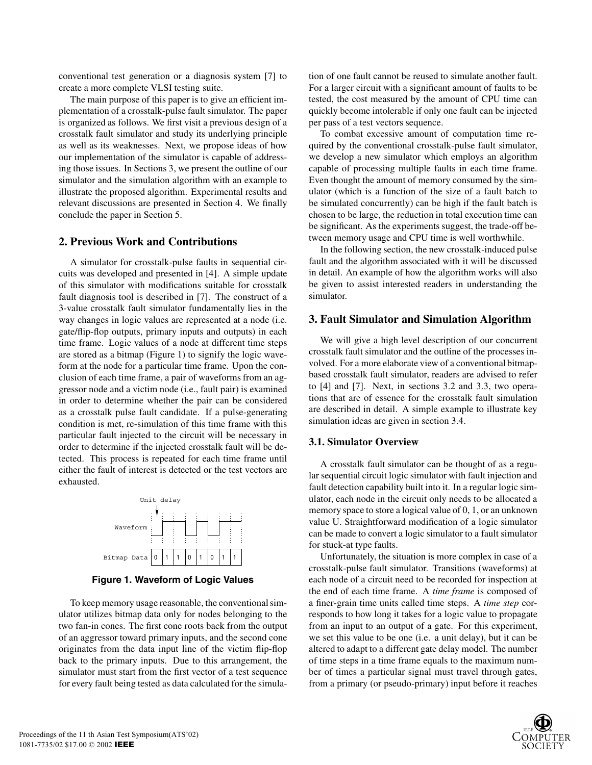conventional test generation or a diagnosis system [7] to create a more complete VLSI testing suite.

The main purpose of this paper is to give an efficient implementation of a crosstalk-pulse fault simulator. The paper is organized as follows. We first visit a previous design of a crosstalk fault simulator and study its underlying principle as well as its weaknesses. Next, we propose ideas of how our implementation of the simulator is capable of addressing those issues. In Sections 3, we present the outline of our simulator and the simulation algorithm with an example to illustrate the proposed algorithm. Experimental results and relevant discussions are presented in Section 4. We finally conclude the paper in Section 5.

# **2. Previous Work and Contributions**

A simulator for crosstalk-pulse faults in sequential circuits was developed and presented in [4]. A simple update of this simulator with modifications suitable for crosstalk fault diagnosis tool is described in [7]. The construct of a 3-value crosstalk fault simulator fundamentally lies in the way changes in logic values are represented at a node (i.e. gate/flip-flop outputs, primary inputs and outputs) in each time frame. Logic values of a node at different time steps are stored as a bitmap (Figure 1) to signify the logic waveform at the node for a particular time frame. Upon the conclusion of each time frame, a pair of waveforms from an aggressor node and a victim node (i.e., fault pair) is examined in order to determine whether the pair can be considered as a crosstalk pulse fault candidate. If a pulse-generating condition is met, re-simulation of this time frame with this particular fault injected to the circuit will be necessary in order to determine if the injected crosstalk fault will be detected. This process is repeated for each time frame until either the fault of interest is detected or the test vectors are exhausted.



**Figure 1. Waveform of Logic Values**

To keep memory usage reasonable, the conventional simulator utilizes bitmap data only for nodes belonging to the two fan-in cones. The first cone roots back from the output of an aggressor toward primary inputs, and the second cone originates from the data input line of the victim flip-flop back to the primary inputs. Due to this arrangement, the simulator must start from the first vector of a test sequence for every fault being tested as data calculated for the simulation of one fault cannot be reused to simulate another fault. For a larger circuit with a significant amount of faults to be tested, the cost measured by the amount of CPU time can quickly become intolerable if only one fault can be injected per pass of a test vectors sequence.

To combat excessive amount of computation time required by the conventional crosstalk-pulse fault simulator, we develop a new simulator which employs an algorithm capable of processing multiple faults in each time frame. Even thought the amount of memory consumed by the simulator (which is a function of the size of a fault batch to be simulated concurrently) can be high if the fault batch is chosen to be large, the reduction in total execution time can be significant. As the experiments suggest, the trade-off between memory usage and CPU time is well worthwhile.

In the following section, the new crosstalk-induced pulse fault and the algorithm associated with it will be discussed in detail. An example of how the algorithm works will also be given to assist interested readers in understanding the simulator.

# **3. Fault Simulator and Simulation Algorithm**

We will give a high level description of our concurrent crosstalk fault simulator and the outline of the processes involved. For a more elaborate view of a conventional bitmapbased crosstalk fault simulator, readers are advised to refer to [4] and [7]. Next, in sections 3.2 and 3.3, two operations that are of essence for the crosstalk fault simulation are described in detail. A simple example to illustrate key simulation ideas are given in section 3.4.

#### **3.1. Simulator Overview**

A crosstalk fault simulator can be thought of as a regular sequential circuit logic simulator with fault injection and fault detection capability built into it. In a regular logic simulator, each node in the circuit only needs to be allocated a memory space to store a logical value of 0, 1, or an unknown value U. Straightforward modification of a logic simulator can be made to convert a logic simulator to a fault simulator for stuck-at type faults.

Unfortunately, the situation is more complex in case of a crosstalk-pulse fault simulator. Transitions (waveforms) at each node of a circuit need to be recorded for inspection at the end of each time frame. A *time frame* is composed of a finer-grain time units called time steps. A *time step* corresponds to how long it takes for a logic value to propagate from an input to an output of a gate. For this experiment, we set this value to be one (i.e. a unit delay), but it can be altered to adapt to a different gate delay model. The number of time steps in a time frame equals to the maximum number of times a particular signal must travel through gates, from a primary (or pseudo-primary) input before it reaches

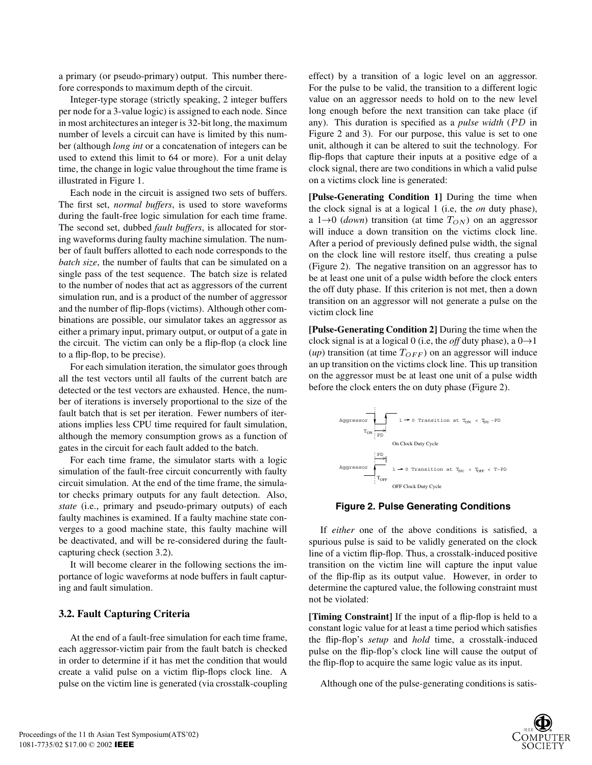a primary (or pseudo-primary) output. This number therefore corresponds to maximum depth of the circuit.

Integer-type storage (strictly speaking, 2 integer buffers per node for a 3-value logic) is assigned to each node. Since in most architectures an integer is 32-bit long, the maximum number of levels a circuit can have is limited by this number (although *long int* or a concatenation of integers can be used to extend this limit to 64 or more). For a unit delay time, the change in logic value throughout the time frame is illustrated in Figure 1.

Each node in the circuit is assigned two sets of buffers. The first set, *normal buffers*, is used to store waveforms during the fault-free logic simulation for each time frame. The second set, dubbed *fault buffers*, is allocated for storing waveforms during faulty machine simulation. The number of fault buffers allotted to each node corresponds to the *batch size*, the number of faults that can be simulated on a single pass of the test sequence. The batch size is related to the number of nodes that act as aggressors of the current simulation run, and is a product of the number of aggressor and the number of flip-flops (victims). Although other combinations are possible, our simulator takes an aggressor as either a primary input, primary output, or output of a gate in the circuit. The victim can only be a flip-flop (a clock line to a flip-flop, to be precise).

For each simulation iteration, the simulator goes through all the test vectors until all faults of the current batch are detected or the test vectors are exhausted. Hence, the number of iterations is inversely proportional to the size of the fault batch that is set per iteration. Fewer numbers of iterations implies less CPU time required for fault simulation, although the memory consumption grows as a function of gates in the circuit for each fault added to the batch.

For each time frame, the simulator starts with a logic simulation of the fault-free circuit concurrently with faulty circuit simulation. At the end of the time frame, the simulator checks primary outputs for any fault detection. Also, *state* (i.e., primary and pseudo-primary outputs) of each faulty machines is examined. If a faulty machine state converges to a good machine state, this faulty machine will be deactivated, and will be re-considered during the faultcapturing check (section 3.2).

It will become clearer in the following sections the importance of logic waveforms at node buffers in fault capturing and fault simulation.

# **3.2. Fault Capturing Criteria**

At the end of a fault-free simulation for each time frame, each aggressor-victim pair from the fault batch is checked in order to determine if it has met the condition that would create a valid pulse on a victim flip-flops clock line. A pulse on the victim line is generated (via crosstalk-coupling effect) by a transition of a logic level on an aggressor. For the pulse to be valid, the transition to a different logic value on an aggressor needs to hold on to the new level long enough before the next transition can take place (if any). This duration is specified as a *pulse width* (PD in Figure 2 and 3). For our purpose, this value is set to one unit, although it can be altered to suit the technology. For flip-flops that capture their inputs at a positive edge of a clock signal, there are two conditions in which a valid pulse on a victims clock line is generated:

**[Pulse-Generating Condition 1]** During the time when the clock signal is at a logical 1 (i.e, the *on* duty phase), a  $1\rightarrow 0$  (*down*) transition (at time  $T_{ON}$ ) on an aggressor will induce a down transition on the victims clock line. After a period of previously defined pulse width, the signal on the clock line will restore itself, thus creating a pulse (Figure 2). The negative transition on an aggressor has to be at least one unit of a pulse width before the clock enters the off duty phase. If this criterion is not met, then a down transition on an aggressor will not generate a pulse on the victim clock line

**[Pulse-Generating Condition 2]** During the time when the clock signal is at a logical 0 (i.e, the *off* duty phase), a  $0 \rightarrow 1$  $(up)$  transition (at time  $T_{OFF}$ ) on an aggressor will induce an up transition on the victims clock line. This up transition on the aggressor must be at least one unit of a pulse width before the clock enters the on duty phase (Figure 2).



#### **Figure 2. Pulse Generating Conditions**

If *either* one of the above conditions is satisfied, a spurious pulse is said to be validly generated on the clock line of a victim flip-flop. Thus, a crosstalk-induced positive transition on the victim line will capture the input value of the flip-flip as its output value. However, in order to determine the captured value, the following constraint must not be violated:

**[Timing Constraint]** If the input of a flip-flop is held to a constant logic value for at least a time period which satisfies the flip-flop's *setup* and *hold* time, a crosstalk-induced pulse on the flip-flop's clock line will cause the output of the flip-flop to acquire the same logic value as its input.

Although one of the pulse-generating conditions is satis-

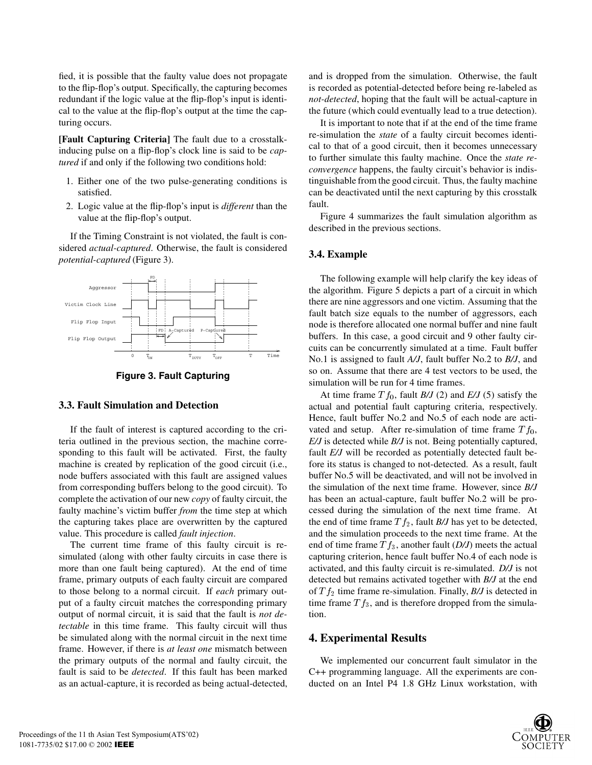fied, it is possible that the faulty value does not propagate to the flip-flop's output. Specifically, the capturing becomes redundant if the logic value at the flip-flop's input is identical to the value at the flip-flop's output at the time the capturing occurs.

**[Fault Capturing Criteria]** The fault due to a crosstalkinducing pulse on a flip-flop's clock line is said to be *captured* if and only if the following two conditions hold:

- 1. Either one of the two pulse-generating conditions is satisfied.
- 2. Logic value at the flip-flop's input is *different* than the value at the flip-flop's output.

If the Timing Constraint is not violated, the fault is considered *actual-captured*. Otherwise, the fault is considered *potential-captured* (Figure 3).



**Figure 3. Fault Capturing**

#### **3.3. Fault Simulation and Detection**

If the fault of interest is captured according to the criteria outlined in the previous section, the machine corresponding to this fault will be activated. First, the faulty machine is created by replication of the good circuit (i.e., node buffers associated with this fault are assigned values from corresponding buffers belong to the good circuit). To complete the activation of our new *copy* of faulty circuit, the faulty machine's victim buffer *from* the time step at which the capturing takes place are overwritten by the captured value. This procedure is called *fault injection*.

The current time frame of this faulty circuit is resimulated (along with other faulty circuits in case there is more than one fault being captured). At the end of time frame, primary outputs of each faulty circuit are compared to those belong to a normal circuit. If *each* primary output of a faulty circuit matches the corresponding primary output of normal circuit, it is said that the fault is *not detectable* in this time frame. This faulty circuit will thus be simulated along with the normal circuit in the next time frame. However, if there is *at least one* mismatch between the primary outputs of the normal and faulty circuit, the fault is said to be *detected*. If this fault has been marked as an actual-capture, it is recorded as being actual-detected,

and is dropped from the simulation. Otherwise, the fault is recorded as potential-detected before being re-labeled as *not-detected*, hoping that the fault will be actual-capture in the future (which could eventually lead to a true detection).

It is important to note that if at the end of the time frame re-simulation the *state* of a faulty circuit becomes identical to that of a good circuit, then it becomes unnecessary to further simulate this faulty machine. Once the *state reconvergence* happens, the faulty circuit's behavior is indistinguishable from the good circuit. Thus, the faulty machine can be deactivated until the next capturing by this crosstalk fault.

Figure 4 summarizes the fault simulation algorithm as described in the previous sections.

## **3.4. Example**

The following example will help clarify the key ideas of the algorithm. Figure 5 depicts a part of a circuit in which there are nine aggressors and one victim. Assuming that the fault batch size equals to the number of aggressors, each node is therefore allocated one normal buffer and nine fault buffers. In this case, a good circuit and 9 other faulty circuits can be concurrently simulated at a time. Fault buffer No.1 is assigned to fault *A/J*, fault buffer No.2 to *B/J*, and so on. Assume that there are 4 test vectors to be used, the simulation will be run for 4 time frames.

At time frame  $T f_0$ , fault  $B/J$  (2) and  $E/J$  (5) satisfy the actual and potential fault capturing criteria, respectively. Hence, fault buffer No.2 and No.5 of each node are activated and setup. After re-simulation of time frame  $T f_0$ , *E/J* is detected while *B/J* is not. Being potentially captured, fault *E/J* will be recorded as potentially detected fault before its status is changed to not-detected. As a result, fault buffer No.5 will be deactivated, and will not be involved in the simulation of the next time frame. However, since *B/J* has been an actual-capture, fault buffer No.2 will be processed during the simulation of the next time frame. At the end of time frame  $T f_2$ , fault  $B/J$  has yet to be detected, and the simulation proceeds to the next time frame. At the end of time frame  $T f_3$ , another fault ( $D/J$ ) meets the actual capturing criterion, hence fault buffer No.4 of each node is activated, and this faulty circuit is re-simulated. *D/J* is not detected but remains activated together with *B/J* at the end of  $T f_2$  time frame re-simulation. Finally,  $B/J$  is detected in time frame  $T f_3$ , and is therefore dropped from the simulation.

# **4. Experimental Results**

We implemented our concurrent fault simulator in the C++ programming language. All the experiments are conducted on an Intel P4 1.8 GHz Linux workstation, with

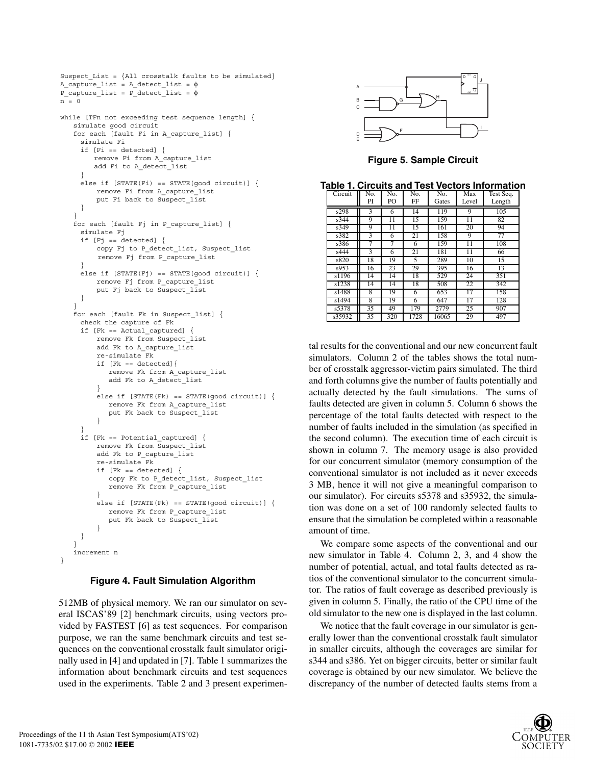```
 
P_capture_list = P_detect_list = φ
Suspect_List = {All crosstalk faults to be simulated}A_capture_list = A_detect_list = \phin = 0while [TFn not exceeding test sequence length] {
   simulate good circuit
   for each [fault Fi in A_capture_list] {
     simulate Fi
     if [Fi == detected] {
        remove Fi from A_capture_list
        add Fi to A_detect_list
     }
     else if [STATE(Fi) == STATE(good circuit)] {
          remove Fi from A_capture_list
         put Fi back to Suspect list
     }
   }
   for each [fault Fj in P_capture_list] {
     simulate Fj
     if [F] == detected] copy Fj to P_detect_list, Suspect_list
          remove Fj from P_capture_list
     }
     else if [STATE(Fj) == STATE(good circuit)] remove Fj from P_capture_list
          put Fj back to Suspect_list
     }
   }
   for each [fault Fk in Suspect_list] {
     check the capture of Fk
     if [Fk == Actual_captured] {
          remove Fk from Suspect_list
         add Fk to A capture list
          re-simulate Fk
         if [FK == detected] remove Fk from A_capture_list
             add Fk to A_detect_list
      }
         \text{else if } [STATE(Fk) == STATE(good circuit)] {
             remove Fk from A_capture_list
             put Fk back to Suspect_list
          }
     }
     if [Fk == Potential_captured] {
          remove Fk from Suspect_list
         add Fk to P capture list
          re-simulate Fk
          if [Fk == detected] {
             copy Fk to P_detect_list, Suspect_list
             remove Fk from P_capture_list
      }
          else if [STATE(Fk) == STATE(good circuit)] {
             remove Fk from P_capture_list
            put Fk back to Suspect list
          }
     }
   }
   increment n
}
```
# **Figure 4. Fault Simulation Algorithm**

512MB of physical memory. We ran our simulator on several ISCAS'89 [2] benchmark circuits, using vectors provided by FASTEST [6] as test sequences. For comparison purpose, we ran the same benchmark circuits and test sequences on the conventional crosstalk fault simulator originally used in [4] and updated in [7]. Table 1 summarizes the information about benchmark circuits and test sequences used in the experiments. Table 2 and 3 present experimen-



**Figure 5. Sample Circuit**

| Table 1. Circuits and Test Vectors Information |     |     |      |       |       |           |  |
|------------------------------------------------|-----|-----|------|-------|-------|-----------|--|
| Circuit                                        | No. | No. | No.  | No.   | Max   | Test Seq. |  |
|                                                | PI  | PO  | FF   | Gates | Level | Length    |  |
| s298                                           | 3   | 6   | 14   | 119   | 9     | 105       |  |
| s344                                           | 9   | 11  | 15   | 159   | 11    | 82        |  |
| s349                                           | 9   | 11  | 15   | 161   | 20    | 94        |  |
| s382                                           | 3   | 6   | 21   | 158   | 9     | 77        |  |
| s386                                           | 7   | 7   | 6    | 159   | 11    | 108       |  |
| s444                                           | 3   | 6   | 21   | 181   | 11    | 66        |  |
| s820                                           | 18  | 19  | 5    | 289   | 10    | 15        |  |
| s953                                           | 16  | 23  | 29   | 395   | 16    | 13        |  |
| s1196                                          | 14  | 14  | 18   | 529   | 24    | 351       |  |
| s1238                                          | 14  | 14  | 18   | 508   | 22    | 342       |  |
| s1488                                          | 8   | 19  | 6    | 653   | 17    | 158       |  |
| s1494                                          | 8   | 19  | 6    | 647   | 17    | 128       |  |
| s5378                                          | 35  | 49  | 179  | 2779  | 25    | 907       |  |
| s35932                                         | 35  | 320 | 1728 | 16065 | 29    | 497       |  |

tal results for the conventional and our new concurrent fault simulators. Column 2 of the tables shows the total number of crosstalk aggressor-victim pairs simulated. The third and forth columns give the number of faults potentially and actually detected by the fault simulations. The sums of faults detected are given in column 5. Column 6 shows the percentage of the total faults detected with respect to the number of faults included in the simulation (as specified in the second column). The execution time of each circuit is shown in column 7. The memory usage is also provided for our concurrent simulator (memory consumption of the conventional simulator is not included as it never exceeds 3 MB, hence it will not give a meaningful comparison to our simulator). For circuits s5378 and s35932, the simulation was done on a set of 100 randomly selected faults to ensure that the simulation be completed within a reasonable amount of time.

We compare some aspects of the conventional and our new simulator in Table 4. Column 2, 3, and 4 show the number of potential, actual, and total faults detected as ratios of the conventional simulator to the concurrent simulator. The ratios of fault coverage as described previously is given in column 5. Finally, the ratio of the CPU time of the old simulator to the new one is displayed in the last column.

We notice that the fault coverage in our simulator is generally lower than the conventional crosstalk fault simulator in smaller circuits, although the coverages are similar for s344 and s386. Yet on bigger circuits, better or similar fault coverage is obtained by our new simulator. We believe the discrepancy of the number of detected faults stems from a